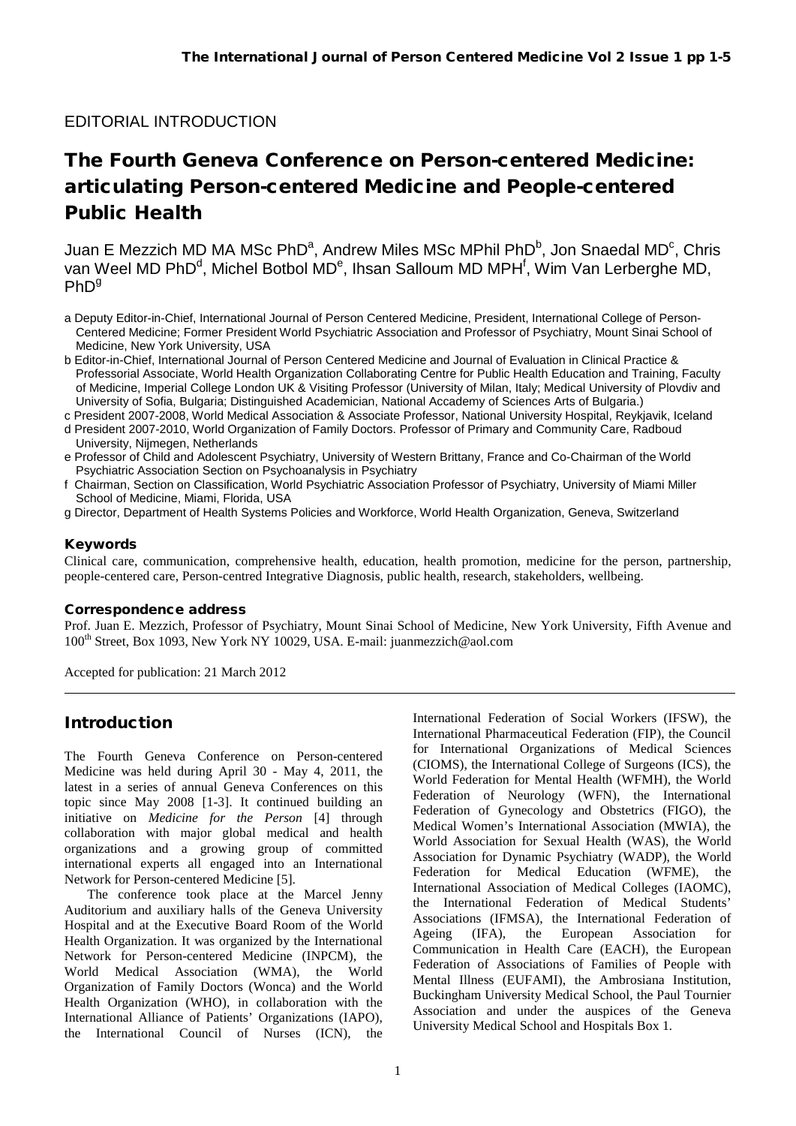## EDITORIAL INTRODUCTION

# The Fourth Geneva Conference on Person-centered Medicine: articulating Person-centered Medicine and People-centered Public Health

Juan E Mezzich MD MA MSc PhD<sup>a</sup>, Andrew Miles MSc MPhil PhD<sup>b</sup>, Jon Snaedal MD<sup>c</sup>, Chris van Weel MD PhD<sup>d</sup>, Michel Botbol MD<sup>e</sup>, Ihsan Salloum MD MPH<sup>f</sup>, Wim Van Lerberghe MD,  $PhD<sup>g</sup>$ 

- a Deputy Editor-in-Chief, International Journal of Person Centered Medicine, President, International College of Person-Centered Medicine; Former President World Psychiatric Association and Professor of Psychiatry, Mount Sinai School of Medicine, New York University, USA
- b Editor-in-Chief, International Journal of Person Centered Medicine and Journal of Evaluation in Clinical Practice & Professorial Associate, World Health Organization Collaborating Centre for Public Health Education and Training, Faculty of Medicine, Imperial College London UK & Visiting Professor (University of Milan, Italy; Medical University of Plovdiv and University of Sofia, Bulgaria; Distinguished Academician, National Accademy of Sciences Arts of Bulgaria.)
- c President 2007-2008, World Medical Association & Associate Professor, National University Hospital, Reykjavik, Iceland d President 2007-2010, World Organization of Family Doctors. Professor of Primary and Community Care, Radboud University, Nijmegen, Netherlands
- e Professor of Child and Adolescent Psychiatry, University of Western Brittany, France and Co-Chairman of the World Psychiatric Association Section on Psychoanalysis in Psychiatry
- f Chairman, Section on Classification, World Psychiatric Association Professor of Psychiatry, University of Miami Miller School of Medicine, Miami, Florida, USA
- g Director, Department of Health Systems Policies and Workforce, World Health Organization, Geneva, Switzerland

#### Keywords

Clinical care, communication, comprehensive health, education, health promotion, medicine for the person, partnership, people-centered care, Person-centred Integrative Diagnosis, public health, research, stakeholders, wellbeing.

#### Correspondence address

Prof. Juan E. Mezzich, Professor of Psychiatry, Mount Sinai School of Medicine, New York University, Fifth Avenue and 100th Street, Box 1093, New York NY 10029, USA. E-mail: juanmezzich@aol.com

Accepted for publication: 21 March 2012

## Introduction

The Fourth Geneva Conference on Person-centered Medicine was held during April 30 - May 4, 2011, the latest in a series of annual Geneva Conferences on this topic since May 2008 [1-3]. It continued building an initiative on *Medicine for the Person* [4] through collaboration with major global medical and health organizations and a growing group of committed international experts all engaged into an International Network for Person-centered Medicine [5].

The conference took place at the Marcel Jenny Auditorium and auxiliary halls of the Geneva University Hospital and at the Executive Board Room of the World Health Organization. It was organized by the International Network for Person-centered Medicine (INPCM), the World Medical Association (WMA), the World Organization of Family Doctors (Wonca) and the World Health Organization (WHO), in collaboration with the International Alliance of Patients' Organizations (IAPO), the International Council of Nurses (ICN), the International Federation of Social Workers (IFSW), the International Pharmaceutical Federation (FIP), the Council for International Organizations of Medical Sciences (CIOMS), the International College of Surgeons (ICS), the World Federation for Mental Health (WFMH), the World Federation of Neurology (WFN), the International Federation of Gynecology and Obstetrics (FIGO), the Medical Women's International Association (MWIA), the World Association for Sexual Health (WAS), the World Association for Dynamic Psychiatry (WADP), the World Federation for Medical Education (WFME), the International Association of Medical Colleges (IAOMC), the International Federation of Medical Students' Associations (IFMSA), the International Federation of Ageing (IFA), the European Association for Communication in Health Care (EACH), the European Federation of Associations of Families of People with Mental Illness (EUFAMI), the Ambrosiana Institution, Buckingham University Medical School, the Paul Tournier Association and under the auspices of the Geneva University Medical School and Hospitals Box 1*.*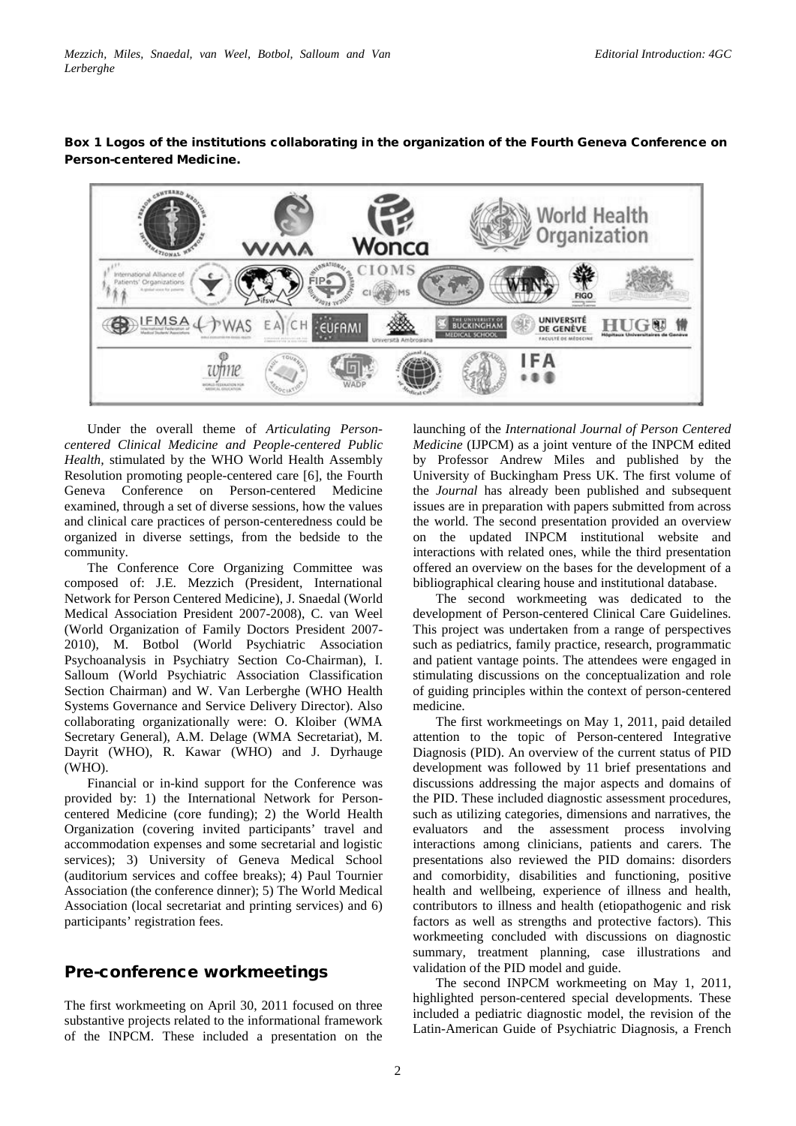

### Box 1 Logos of the institutions collaborating in the organization of the Fourth Geneva Conference on Person-centered Medicine.

Under the overall theme of *Articulating Personcentered Clinical Medicine and People-centered Public Health,* stimulated by the WHO World Health Assembly Resolution promoting people-centered care [6], the Fourth Geneva Conference on Person-centered Medicine examined, through a set of diverse sessions, how the values and clinical care practices of person-centeredness could be organized in diverse settings, from the bedside to the community.

The Conference Core Organizing Committee was composed of: J.E. Mezzich (President, International Network for Person Centered Medicine), J. Snaedal (World Medical Association President 2007-2008), C. van Weel (World Organization of Family Doctors President 2007- 2010), M. Botbol (World Psychiatric Association Psychoanalysis in Psychiatry Section Co-Chairman), I. Salloum (World Psychiatric Association Classification Section Chairman) and W. Van Lerberghe (WHO Health Systems Governance and Service Delivery Director). Also collaborating organizationally were: O. Kloiber (WMA Secretary General), A.M. Delage (WMA Secretariat), M. Dayrit (WHO), R. Kawar (WHO) and J. Dyrhauge (WHO).

Financial or in-kind support for the Conference was provided by: 1) the International Network for Personcentered Medicine (core funding); 2) the World Health Organization (covering invited participants' travel and accommodation expenses and some secretarial and logistic services); 3) University of Geneva Medical School (auditorium services and coffee breaks); 4) Paul Tournier Association (the conference dinner); 5) The World Medical Association (local secretariat and printing services) and 6) participants' registration fees.

## Pre-conference workmeetings

The first workmeeting on April 30, 2011 focused on three substantive projects related to the informational framework of the INPCM. These included a presentation on the

launching of the *International Journal of Person Centered Medicine* (IJPCM) as a joint venture of the INPCM edited by Professor Andrew Miles and published by the University of Buckingham Press UK. The first volume of the *Journal* has already been published and subsequent issues are in preparation with papers submitted from across the world. The second presentation provided an overview on the updated INPCM institutional website and interactions with related ones, while the third presentation offered an overview on the bases for the development of a bibliographical clearing house and institutional database.

The second workmeeting was dedicated to the development of Person-centered Clinical Care Guidelines. This project was undertaken from a range of perspectives such as pediatrics, family practice, research, programmatic and patient vantage points. The attendees were engaged in stimulating discussions on the conceptualization and role of guiding principles within the context of person-centered medicine.

The first workmeetings on May 1, 2011, paid detailed attention to the topic of Person-centered Integrative Diagnosis (PID). An overview of the current status of PID development was followed by 11 brief presentations and discussions addressing the major aspects and domains of the PID. These included diagnostic assessment procedures, such as utilizing categories, dimensions and narratives, the evaluators and the assessment process involving interactions among clinicians, patients and carers. The presentations also reviewed the PID domains: disorders and comorbidity, disabilities and functioning, positive health and wellbeing, experience of illness and health, contributors to illness and health (etiopathogenic and risk factors as well as strengths and protective factors). This workmeeting concluded with discussions on diagnostic summary, treatment planning, case illustrations and validation of the PID model and guide.

The second INPCM workmeeting on May 1, 2011, highlighted person-centered special developments. These included a pediatric diagnostic model, the revision of the Latin-American Guide of Psychiatric Diagnosis, a French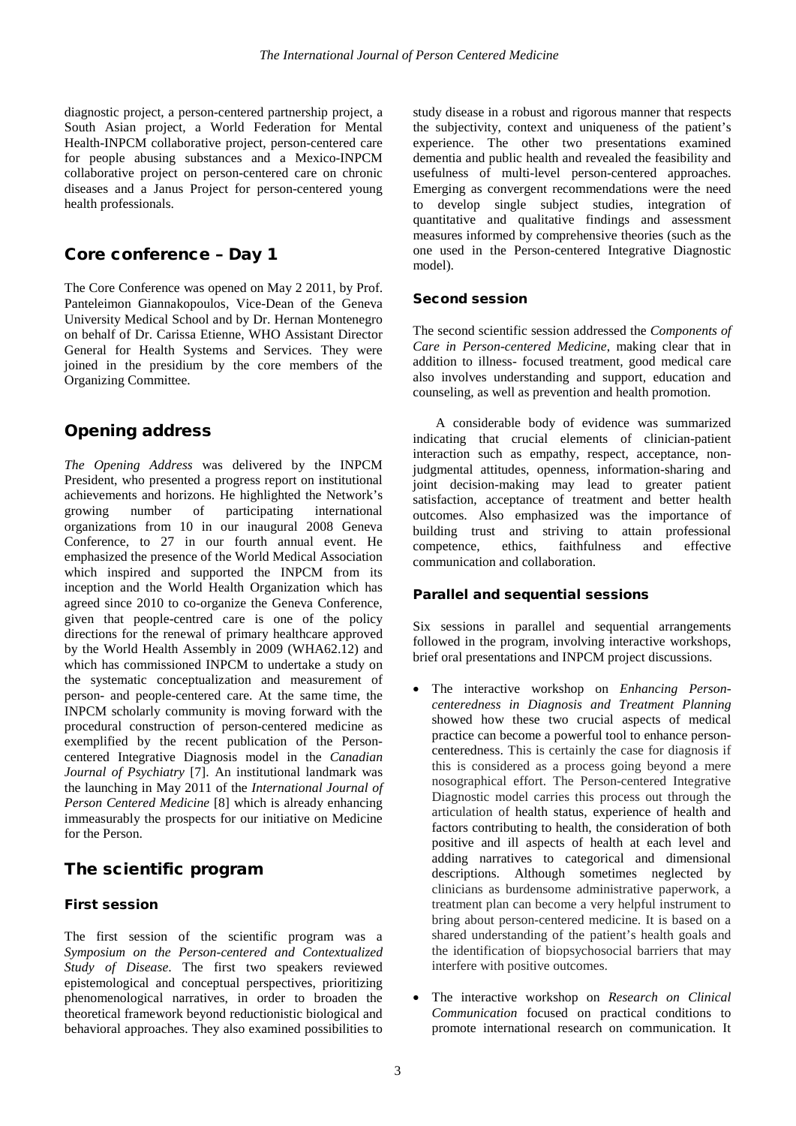diagnostic project, a person-centered partnership project, a South Asian project, a World Federation for Mental Health-INPCM collaborative project, person-centered care for people abusing substances and a Mexico-INPCM collaborative project on person-centered care on chronic diseases and a Janus Project for person-centered young health professionals.

### Core conference – Day 1

The Core Conference was opened on May 2 2011, by Prof. Panteleimon Giannakopoulos, Vice-Dean of the Geneva University Medical School and by Dr. Hernan Montenegro on behalf of Dr. Carissa Etienne, WHO Assistant Director General for Health Systems and Services. They were joined in the presidium by the core members of the Organizing Committee.

## Opening address

*The Opening Address* was delivered by the INPCM President, who presented a progress report on institutional achievements and horizons. He highlighted the Network's growing number of participating international organizations from 10 in our inaugural 2008 Geneva Conference, to 27 in our fourth annual event. He emphasized the presence of the World Medical Association which inspired and supported the INPCM from its inception and the World Health Organization which has agreed since 2010 to co-organize the Geneva Conference, given that people-centred care is one of the policy directions for the renewal of primary healthcare approved by the World Health Assembly in 2009 (WHA62.12) and which has commissioned INPCM to undertake a study on the systematic conceptualization and measurement of person- and people-centered care. At the same time, the INPCM scholarly community is moving forward with the procedural construction of person-centered medicine as exemplified by the recent publication of the Personcentered Integrative Diagnosis model in the *Canadian Journal of Psychiatry* [7]. An institutional landmark was the launching in May 2011 of the *International Journal of Person Centered Medicine* [8] which is already enhancing immeasurably the prospects for our initiative on Medicine for the Person.

## The scientific program

#### First session

The first session of the scientific program was a *Symposium on the Person-centered and Contextualized Study of Disease*. The first two speakers reviewed epistemological and conceptual perspectives, prioritizing phenomenological narratives, in order to broaden the theoretical framework beyond reductionistic biological and behavioral approaches. They also examined possibilities to

study disease in a robust and rigorous manner that respects the subjectivity, context and uniqueness of the patient's experience. The other two presentations examined dementia and public health and revealed the feasibility and usefulness of multi-level person-centered approaches. Emerging as convergent recommendations were the need to develop single subject studies, integration of quantitative and qualitative findings and assessment measures informed by comprehensive theories (such as the one used in the Person-centered Integrative Diagnostic model).

#### Second session

The second scientific session addressed the *Components of Care in Person-centered Medicine*, making clear that in addition to illness- focused treatment, good medical care also involves understanding and support, education and counseling, as well as prevention and health promotion.

A considerable body of evidence was summarized indicating that crucial elements of clinician-patient interaction such as empathy, respect, acceptance, nonjudgmental attitudes, openness, information-sharing and joint decision-making may lead to greater patient satisfaction, acceptance of treatment and better health outcomes. Also emphasized was the importance of building trust and striving to attain professional competence, ethics, faithfulness and effective communication and collaboration.

#### Parallel and sequential sessions

Six sessions in parallel and sequential arrangements followed in the program, involving interactive workshops, brief oral presentations and INPCM project discussions.

- The interactive workshop on *Enhancing Personcenteredness in Diagnosis and Treatment Planning* showed how these two crucial aspects of medical practice can become a powerful tool to enhance personcenteredness. This is certainly the case for diagnosis if this is considered as a process going beyond a mere nosographical effort. The Person-centered Integrative Diagnostic model carries this process out through the articulation of health status, experience of health and factors contributing to health, the consideration of both positive and ill aspects of health at each level and adding narratives to categorical and dimensional descriptions. Although sometimes neglected by clinicians as burdensome administrative paperwork, a treatment plan can become a very helpful instrument to bring about person-centered medicine. It is based on a shared understanding of the patient's health goals and the identification of biopsychosocial barriers that may interfere with positive outcomes.
- The interactive workshop on *Research on Clinical Communication* focused on practical conditions to promote international research on communication. It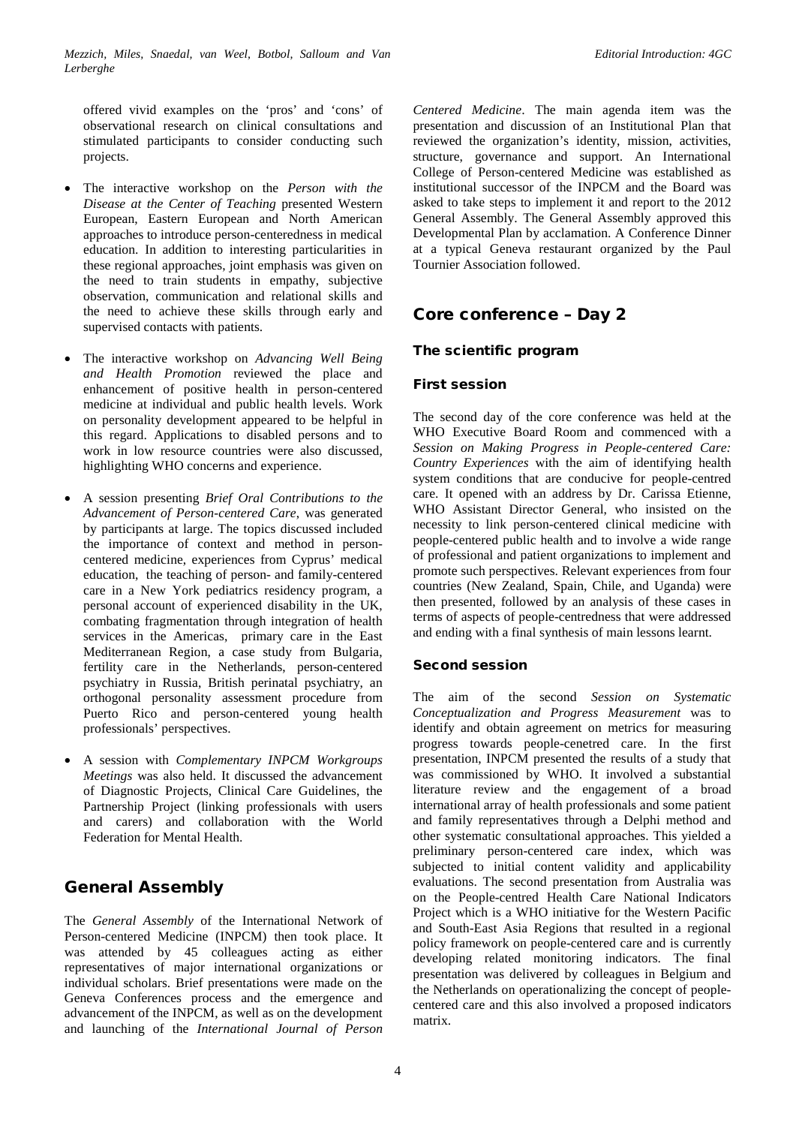offered vivid examples on the 'pros' and 'cons' of observational research on clinical consultations and stimulated participants to consider conducting such projects.

- The interactive workshop on the *Person with the Disease at the Center of Teaching* presented Western European, Eastern European and North American approaches to introduce person-centeredness in medical education. In addition to interesting particularities in these regional approaches, joint emphasis was given on the need to train students in empathy, subjective observation, communication and relational skills and the need to achieve these skills through early and supervised contacts with patients.
- The interactive workshop on *Advancing Well Being and Health Promotion* reviewed the place and enhancement of positive health in person-centered medicine at individual and public health levels. Work on personality development appeared to be helpful in this regard. Applications to disabled persons and to work in low resource countries were also discussed, highlighting WHO concerns and experience.
- A session presenting *Brief Oral Contributions to the Advancement of Person-centered Care*, was generated by participants at large. The topics discussed included the importance of context and method in personcentered medicine, experiences from Cyprus' medical education, the teaching of person- and family-centered care in a New York pediatrics residency program, a personal account of experienced disability in the UK, combating fragmentation through integration of health services in the Americas, primary care in the East Mediterranean Region, a case study from Bulgaria, fertility care in the Netherlands, person-centered psychiatry in Russia, British perinatal psychiatry, an orthogonal personality assessment procedure from Puerto Rico and person-centered young health professionals' perspectives.
- A session with *Complementary INPCM Workgroups Meetings* was also held. It discussed the advancement of Diagnostic Projects, Clinical Care Guidelines, the Partnership Project (linking professionals with users and carers) and collaboration with the World Federation for Mental Health.

## General Assembly

The *General Assembly* of the International Network of Person-centered Medicine (INPCM) then took place. It was attended by 45 colleagues acting as either representatives of major international organizations or individual scholars. Brief presentations were made on the Geneva Conferences process and the emergence and advancement of the INPCM, as well as on the development and launching of the *International Journal of Person* 

*Centered Medicine*. The main agenda item was the presentation and discussion of an Institutional Plan that reviewed the organization's identity, mission, activities, structure, governance and support. An International College of Person-centered Medicine was established as institutional successor of the INPCM and the Board was asked to take steps to implement it and report to the 2012 General Assembly. The General Assembly approved this Developmental Plan by acclamation. A Conference Dinner at a typical Geneva restaurant organized by the Paul Tournier Association followed.

## Core conference – Day 2

### The scientific program

### First session

The second day of the core conference was held at the WHO Executive Board Room and commenced with a *Session on Making Progress in People-centered Care: Country Experiences* with the aim of identifying health system conditions that are conducive for people-centred care. It opened with an address by Dr. Carissa Etienne, WHO Assistant Director General, who insisted on the necessity to link person-centered clinical medicine with people-centered public health and to involve a wide range of professional and patient organizations to implement and promote such perspectives. Relevant experiences from four countries (New Zealand, Spain, Chile, and Uganda) were then presented, followed by an analysis of these cases in terms of aspects of people-centredness that were addressed and ending with a final synthesis of main lessons learnt.

### Second session

The aim of the second *Session on Systematic Conceptualization and Progress Measurement* was to identify and obtain agreement on metrics for measuring progress towards people-cenetred care. In the first presentation, INPCM presented the results of a study that was commissioned by WHO. It involved a substantial literature review and the engagement of a broad international array of health professionals and some patient and family representatives through a Delphi method and other systematic consultational approaches. This yielded a preliminary person-centered care index, which was subjected to initial content validity and applicability evaluations. The second presentation from Australia was on the People-centred Health Care National Indicators Project which is a WHO initiative for the Western Pacific and South-East Asia Regions that resulted in a regional policy framework on people-centered care and is currently developing related monitoring indicators. The final presentation was delivered by colleagues in Belgium and the Netherlands on operationalizing the concept of peoplecentered care and this also involved a proposed indicators matrix.